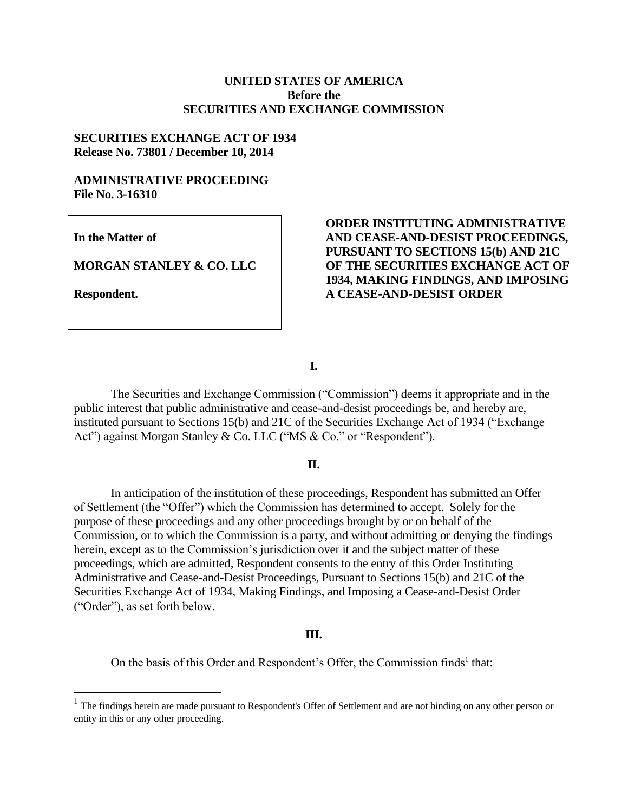# **UNITED STATES OF AMERICA Before the SECURITIES AND EXCHANGE COMMISSION**

## **SECURITIES EXCHANGE ACT OF 1934 Release No. 73801 / December 10, 2014**

## **ADMINISTRATIVE PROCEEDING File No. 3-16310**

**In the Matter of**

**MORGAN STANLEY & CO. LLC**

**Respondent.**

 $\overline{a}$ 

# **ORDER INSTITUTING ADMINISTRATIVE AND CEASE-AND-DESIST PROCEEDINGS, PURSUANT TO SECTIONS 15(b) AND 21C OF THE SECURITIES EXCHANGE ACT OF 1934, MAKING FINDINGS, AND IMPOSING A CEASE-AND-DESIST ORDER**

**I.**

The Securities and Exchange Commission ("Commission") deems it appropriate and in the public interest that public administrative and cease-and-desist proceedings be, and hereby are, instituted pursuant to Sections 15(b) and 21C of the Securities Exchange Act of 1934 ("Exchange Act") against Morgan Stanley & Co. LLC ("MS & Co." or "Respondent").

## **II.**

In anticipation of the institution of these proceedings, Respondent has submitted an Offer of Settlement (the "Offer") which the Commission has determined to accept. Solely for the purpose of these proceedings and any other proceedings brought by or on behalf of the Commission, or to which the Commission is a party, and without admitting or denying the findings herein, except as to the Commission's jurisdiction over it and the subject matter of these proceedings, which are admitted, Respondent consents to the entry of this Order Instituting Administrative and Cease-and-Desist Proceedings, Pursuant to Sections 15(b) and 21C of the Securities Exchange Act of 1934, Making Findings, and Imposing a Cease-and-Desist Order ("Order"), as set forth below.

#### **III.**

On the basis of this Order and Respondent's Offer, the Commission finds<sup>1</sup> that:

 $<sup>1</sup>$  The findings herein are made pursuant to Respondent's Offer of Settlement and are not binding on any other person or</sup> entity in this or any other proceeding.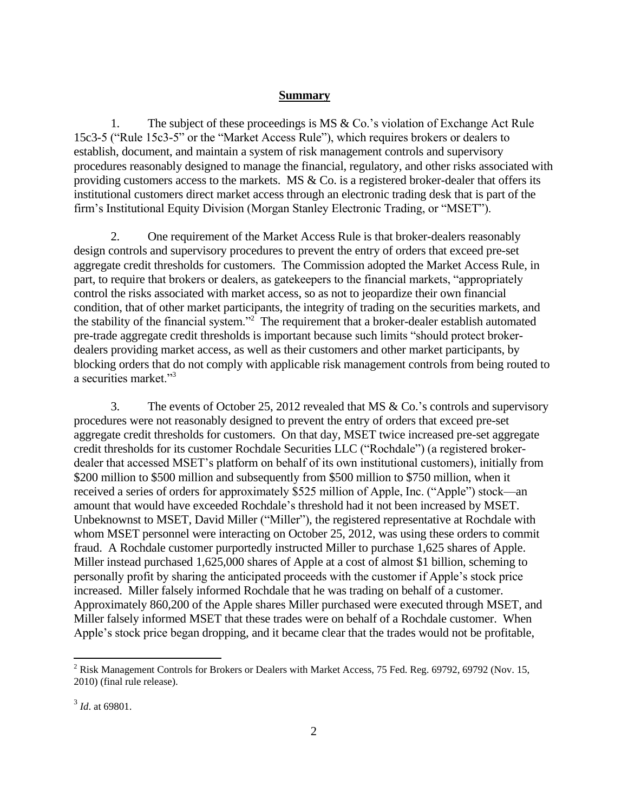### **Summary**

1. The subject of these proceedings is MS & Co.'s violation of Exchange Act Rule 15c3-5 ("Rule 15c3-5" or the "Market Access Rule"), which requires brokers or dealers to establish, document, and maintain a system of risk management controls and supervisory procedures reasonably designed to manage the financial, regulatory, and other risks associated with providing customers access to the markets. MS  $& Co.$  is a registered broker-dealer that offers its institutional customers direct market access through an electronic trading desk that is part of the firm's Institutional Equity Division (Morgan Stanley Electronic Trading, or "MSET").

2. One requirement of the Market Access Rule is that broker-dealers reasonably design controls and supervisory procedures to prevent the entry of orders that exceed pre-set aggregate credit thresholds for customers. The Commission adopted the Market Access Rule, in part, to require that brokers or dealers, as gatekeepers to the financial markets, "appropriately control the risks associated with market access, so as not to jeopardize their own financial condition, that of other market participants, the integrity of trading on the securities markets, and the stability of the financial system."<sup>2</sup> The requirement that a broker-dealer establish automated pre-trade aggregate credit thresholds is important because such limits "should protect brokerdealers providing market access, as well as their customers and other market participants, by blocking orders that do not comply with applicable risk management controls from being routed to a securities market."<sup>3</sup>

3. The events of October 25, 2012 revealed that MS & Co.'s controls and supervisory procedures were not reasonably designed to prevent the entry of orders that exceed pre-set aggregate credit thresholds for customers. On that day, MSET twice increased pre-set aggregate credit thresholds for its customer Rochdale Securities LLC ("Rochdale") (a registered brokerdealer that accessed MSET's platform on behalf of its own institutional customers), initially from \$200 million to \$500 million and subsequently from \$500 million to \$750 million, when it received a series of orders for approximately \$525 million of Apple, Inc. ("Apple") stock—an amount that would have exceeded Rochdale's threshold had it not been increased by MSET. Unbeknownst to MSET, David Miller ("Miller"), the registered representative at Rochdale with whom MSET personnel were interacting on October 25, 2012, was using these orders to commit fraud. A Rochdale customer purportedly instructed Miller to purchase 1,625 shares of Apple. Miller instead purchased 1,625,000 shares of Apple at a cost of almost \$1 billion, scheming to personally profit by sharing the anticipated proceeds with the customer if Apple's stock price increased. Miller falsely informed Rochdale that he was trading on behalf of a customer. Approximately 860,200 of the Apple shares Miller purchased were executed through MSET, and Miller falsely informed MSET that these trades were on behalf of a Rochdale customer. When Apple's stock price began dropping, and it became clear that the trades would not be profitable,

<sup>&</sup>lt;sup>2</sup> Risk Management Controls for Brokers or Dealers with Market Access, 75 Fed. Reg. 69792, 69792 (Nov. 15, 2010) (final rule release).

<sup>3</sup> *Id*. at 69801.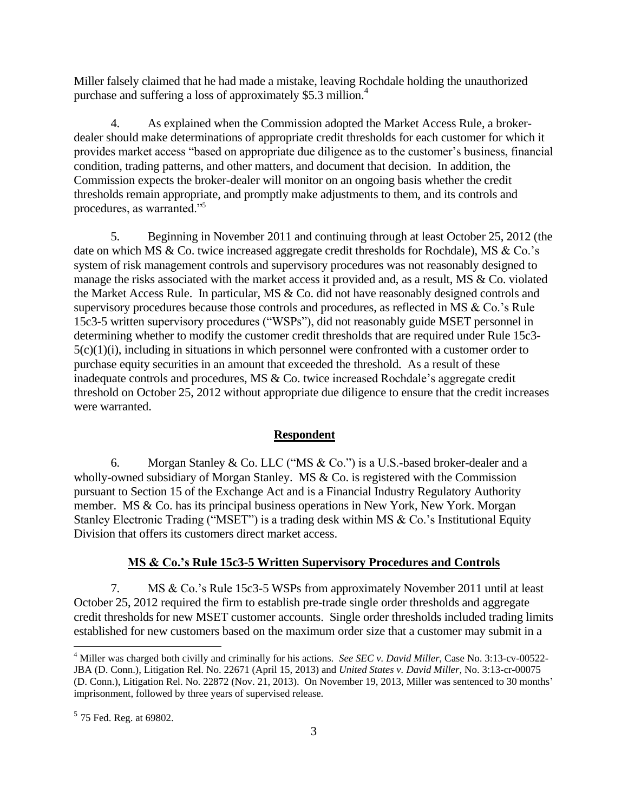Miller falsely claimed that he had made a mistake, leaving Rochdale holding the unauthorized purchase and suffering a loss of approximately \$5.3 million.<sup>4</sup>

4. As explained when the Commission adopted the Market Access Rule, a brokerdealer should make determinations of appropriate credit thresholds for each customer for which it provides market access "based on appropriate due diligence as to the customer's business, financial condition, trading patterns, and other matters, and document that decision. In addition, the Commission expects the broker-dealer will monitor on an ongoing basis whether the credit thresholds remain appropriate, and promptly make adjustments to them, and its controls and procedures, as warranted."<sup>5</sup>

5. Beginning in November 2011 and continuing through at least October 25, 2012 (the date on which MS & Co. twice increased aggregate credit thresholds for Rochdale), MS & Co.'s system of risk management controls and supervisory procedures was not reasonably designed to manage the risks associated with the market access it provided and, as a result, MS & Co. violated the Market Access Rule. In particular, MS & Co. did not have reasonably designed controls and supervisory procedures because those controls and procedures, as reflected in MS & Co.'s Rule 15c3-5 written supervisory procedures ("WSPs"), did not reasonably guide MSET personnel in determining whether to modify the customer credit thresholds that are required under Rule 15c3- 5(c)(1)(i), including in situations in which personnel were confronted with a customer order to purchase equity securities in an amount that exceeded the threshold. As a result of these inadequate controls and procedures, MS & Co. twice increased Rochdale's aggregate credit threshold on October 25, 2012 without appropriate due diligence to ensure that the credit increases were warranted.

## **Respondent**

6. Morgan Stanley & Co. LLC ("MS & Co.") is a U.S.-based broker-dealer and a wholly-owned subsidiary of Morgan Stanley. MS & Co. is registered with the Commission pursuant to Section 15 of the Exchange Act and is a Financial Industry Regulatory Authority member. MS & Co. has its principal business operations in New York, New York. Morgan Stanley Electronic Trading ("MSET") is a trading desk within MS & Co.'s Institutional Equity Division that offers its customers direct market access.

#### **MS & Co.'s Rule 15c3-5 Written Supervisory Procedures and Controls**

7. MS & Co.'s Rule 15c3-5 WSPs from approximately November 2011 until at least October 25, 2012 required the firm to establish pre-trade single order thresholds and aggregate credit thresholds for new MSET customer accounts. Single order thresholds included trading limits established for new customers based on the maximum order size that a customer may submit in a

<sup>4</sup> Miller was charged both civilly and criminally for his actions. *See SEC v. David Miller*, Case No. 3:13-cv-00522- JBA (D. Conn.), Litigation Rel. No. 22671 (April 15, 2013) and *United States v. David Miller,* No. 3:13-cr-00075 (D. Conn.), Litigation Rel. No. 22872 (Nov. 21, 2013). On November 19, 2013, Miller was sentenced to 30 months' imprisonment, followed by three years of supervised release.

 $<sup>5</sup>$  75 Fed. Reg. at 69802.</sup>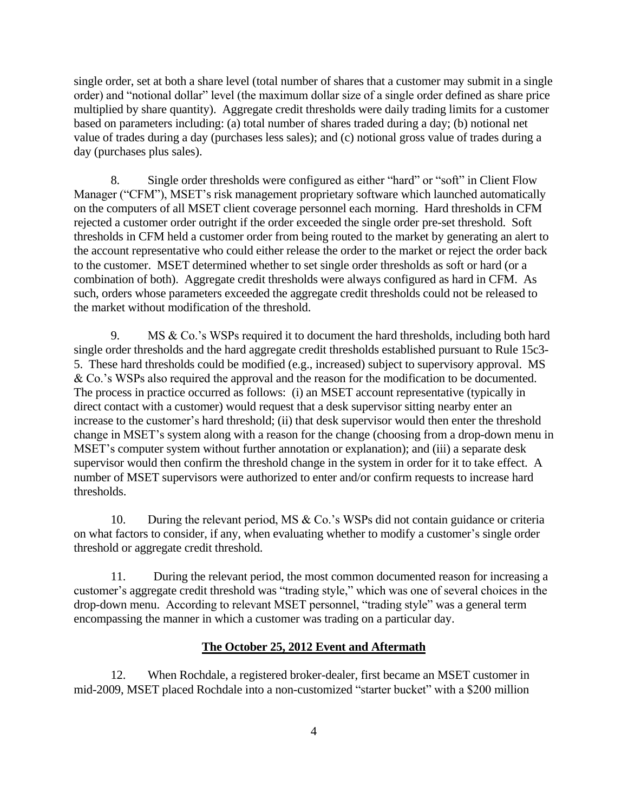single order, set at both a share level (total number of shares that a customer may submit in a single order) and "notional dollar" level (the maximum dollar size of a single order defined as share price multiplied by share quantity). Aggregate credit thresholds were daily trading limits for a customer based on parameters including: (a) total number of shares traded during a day; (b) notional net value of trades during a day (purchases less sales); and (c) notional gross value of trades during a day (purchases plus sales).

8. Single order thresholds were configured as either "hard" or "soft" in Client Flow Manager ("CFM"), MSET's risk management proprietary software which launched automatically on the computers of all MSET client coverage personnel each morning. Hard thresholds in CFM rejected a customer order outright if the order exceeded the single order pre-set threshold. Soft thresholds in CFM held a customer order from being routed to the market by generating an alert to the account representative who could either release the order to the market or reject the order back to the customer. MSET determined whether to set single order thresholds as soft or hard (or a combination of both). Aggregate credit thresholds were always configured as hard in CFM. As such, orders whose parameters exceeded the aggregate credit thresholds could not be released to the market without modification of the threshold.

9. MS & Co.'s WSPs required it to document the hard thresholds, including both hard single order thresholds and the hard aggregate credit thresholds established pursuant to Rule 15c3- 5. These hard thresholds could be modified (e.g., increased) subject to supervisory approval. MS & Co.'s WSPs also required the approval and the reason for the modification to be documented. The process in practice occurred as follows: (i) an MSET account representative (typically in direct contact with a customer) would request that a desk supervisor sitting nearby enter an increase to the customer's hard threshold; (ii) that desk supervisor would then enter the threshold change in MSET's system along with a reason for the change (choosing from a drop-down menu in MSET's computer system without further annotation or explanation); and (iii) a separate desk supervisor would then confirm the threshold change in the system in order for it to take effect. A number of MSET supervisors were authorized to enter and/or confirm requests to increase hard thresholds.

10. During the relevant period, MS & Co.'s WSPs did not contain guidance or criteria on what factors to consider, if any, when evaluating whether to modify a customer's single order threshold or aggregate credit threshold.

11. During the relevant period, the most common documented reason for increasing a customer's aggregate credit threshold was "trading style," which was one of several choices in the drop-down menu. According to relevant MSET personnel, "trading style" was a general term encompassing the manner in which a customer was trading on a particular day.

## **The October 25, 2012 Event and Aftermath**

12. When Rochdale, a registered broker-dealer, first became an MSET customer in mid-2009, MSET placed Rochdale into a non-customized "starter bucket" with a \$200 million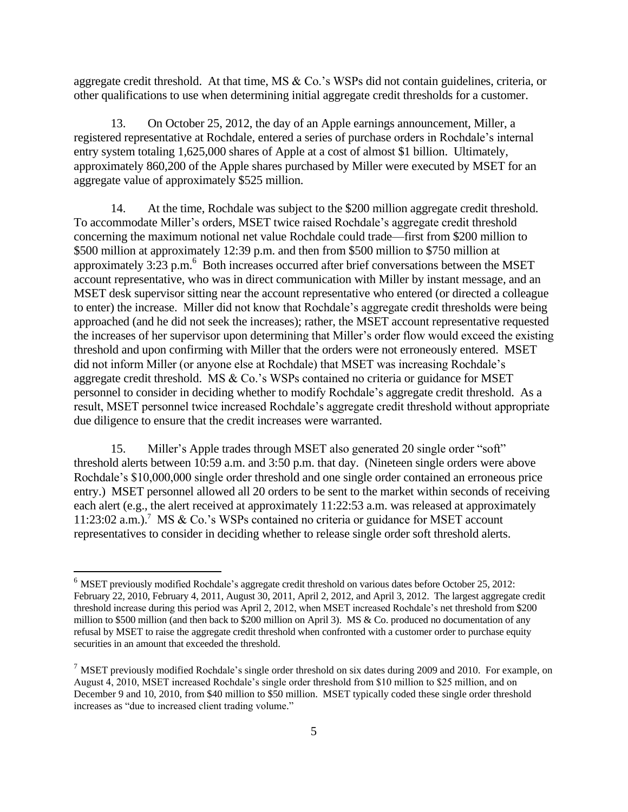aggregate credit threshold. At that time, MS & Co.'s WSPs did not contain guidelines, criteria, or other qualifications to use when determining initial aggregate credit thresholds for a customer.

13. On October 25, 2012, the day of an Apple earnings announcement, Miller, a registered representative at Rochdale, entered a series of purchase orders in Rochdale's internal entry system totaling 1,625,000 shares of Apple at a cost of almost \$1 billion. Ultimately, approximately 860,200 of the Apple shares purchased by Miller were executed by MSET for an aggregate value of approximately \$525 million.

14. At the time, Rochdale was subject to the \$200 million aggregate credit threshold. To accommodate Miller's orders, MSET twice raised Rochdale's aggregate credit threshold concerning the maximum notional net value Rochdale could trade—first from \$200 million to \$500 million at approximately 12:39 p.m. and then from \$500 million to \$750 million at approximately  $3:23$  p.m.<sup>6</sup> Both increases occurred after brief conversations between the MSET account representative, who was in direct communication with Miller by instant message, and an MSET desk supervisor sitting near the account representative who entered (or directed a colleague to enter) the increase. Miller did not know that Rochdale's aggregate credit thresholds were being approached (and he did not seek the increases); rather, the MSET account representative requested the increases of her supervisor upon determining that Miller's order flow would exceed the existing threshold and upon confirming with Miller that the orders were not erroneously entered. MSET did not inform Miller (or anyone else at Rochdale) that MSET was increasing Rochdale's aggregate credit threshold. MS & Co.'s WSPs contained no criteria or guidance for MSET personnel to consider in deciding whether to modify Rochdale's aggregate credit threshold. As a result, MSET personnel twice increased Rochdale's aggregate credit threshold without appropriate due diligence to ensure that the credit increases were warranted.

15. Miller's Apple trades through MSET also generated 20 single order "soft" threshold alerts between 10:59 a.m. and 3:50 p.m. that day. (Nineteen single orders were above Rochdale's \$10,000,000 single order threshold and one single order contained an erroneous price entry.) MSET personnel allowed all 20 orders to be sent to the market within seconds of receiving each alert (e.g., the alert received at approximately 11:22:53 a.m. was released at approximately 11:23:02 a.m.).<sup>7</sup> MS & Co.'s WSPs contained no criteria or guidance for MSET account representatives to consider in deciding whether to release single order soft threshold alerts.

<sup>&</sup>lt;sup>6</sup> MSET previously modified Rochdale's aggregate credit threshold on various dates before October 25, 2012: February 22, 2010, February 4, 2011, August 30, 2011, April 2, 2012, and April 3, 2012. The largest aggregate credit threshold increase during this period was April 2, 2012, when MSET increased Rochdale's net threshold from \$200 million to \$500 million (and then back to \$200 million on April 3). MS & Co. produced no documentation of any refusal by MSET to raise the aggregate credit threshold when confronted with a customer order to purchase equity securities in an amount that exceeded the threshold.

<sup>&</sup>lt;sup>7</sup> MSET previously modified Rochdale's single order threshold on six dates during 2009 and 2010. For example, on August 4, 2010, MSET increased Rochdale's single order threshold from \$10 million to \$25 million, and on December 9 and 10, 2010, from \$40 million to \$50 million. MSET typically coded these single order threshold increases as "due to increased client trading volume."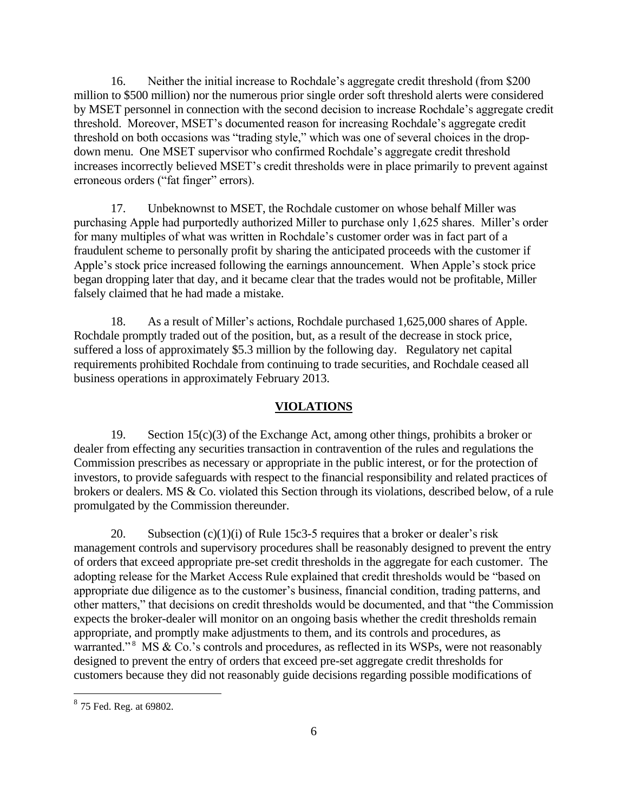16. Neither the initial increase to Rochdale's aggregate credit threshold (from \$200 million to \$500 million) nor the numerous prior single order soft threshold alerts were considered by MSET personnel in connection with the second decision to increase Rochdale's aggregate credit threshold. Moreover, MSET's documented reason for increasing Rochdale's aggregate credit threshold on both occasions was "trading style," which was one of several choices in the dropdown menu. One MSET supervisor who confirmed Rochdale's aggregate credit threshold increases incorrectly believed MSET's credit thresholds were in place primarily to prevent against erroneous orders ("fat finger" errors).

17. Unbeknownst to MSET, the Rochdale customer on whose behalf Miller was purchasing Apple had purportedly authorized Miller to purchase only 1,625 shares. Miller's order for many multiples of what was written in Rochdale's customer order was in fact part of a fraudulent scheme to personally profit by sharing the anticipated proceeds with the customer if Apple's stock price increased following the earnings announcement. When Apple's stock price began dropping later that day, and it became clear that the trades would not be profitable, Miller falsely claimed that he had made a mistake.

18. As a result of Miller's actions, Rochdale purchased 1,625,000 shares of Apple. Rochdale promptly traded out of the position, but, as a result of the decrease in stock price, suffered a loss of approximately \$5.3 million by the following day. Regulatory net capital requirements prohibited Rochdale from continuing to trade securities, and Rochdale ceased all business operations in approximately February 2013.

#### **VIOLATIONS**

19. Section 15(c)(3) of the Exchange Act, among other things, prohibits a broker or dealer from effecting any securities transaction in contravention of the rules and regulations the Commission prescribes as necessary or appropriate in the public interest, or for the protection of investors, to provide safeguards with respect to the financial responsibility and related practices of brokers or dealers. MS & Co. violated this Section through its violations, described below, of a rule promulgated by the Commission thereunder.

20. Subsection  $(c)(1)(i)$  of Rule 15c3-5 requires that a broker or dealer's risk management controls and supervisory procedures shall be reasonably designed to prevent the entry of orders that exceed appropriate pre-set credit thresholds in the aggregate for each customer. The adopting release for the Market Access Rule explained that credit thresholds would be "based on appropriate due diligence as to the customer's business, financial condition, trading patterns, and other matters," that decisions on credit thresholds would be documented, and that "the Commission expects the broker-dealer will monitor on an ongoing basis whether the credit thresholds remain appropriate, and promptly make adjustments to them, and its controls and procedures, as warranted."<sup>8</sup> MS & Co.'s controls and procedures, as reflected in its WSPs, were not reasonably designed to prevent the entry of orders that exceed pre-set aggregate credit thresholds for customers because they did not reasonably guide decisions regarding possible modifications of

<sup>&</sup>lt;sup>8</sup> 75 Fed. Reg. at 69802.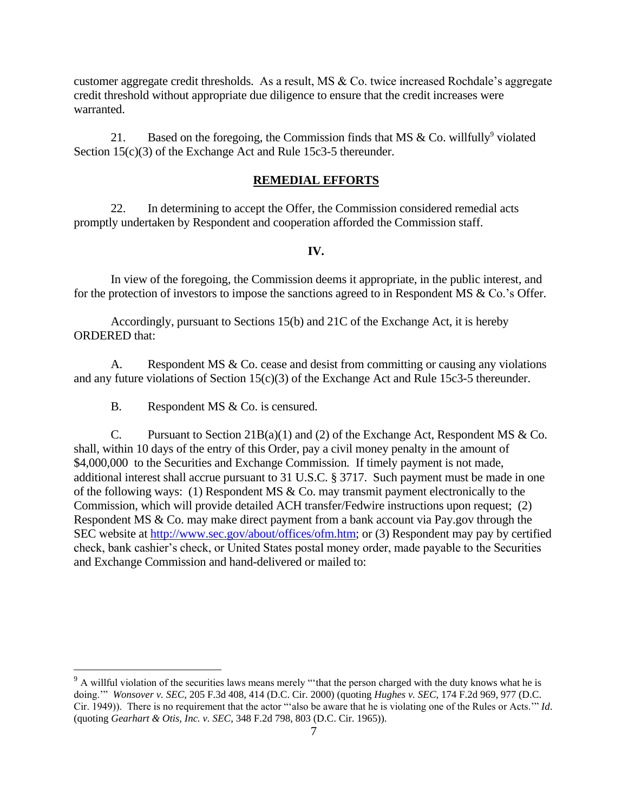customer aggregate credit thresholds. As a result, MS & Co. twice increased Rochdale's aggregate credit threshold without appropriate due diligence to ensure that the credit increases were warranted.

21. Based on the foregoing, the Commission finds that MS  $&$  Co. willfully<sup>9</sup> violated Section 15(c)(3) of the Exchange Act and Rule 15c3-5 thereunder.

# **REMEDIAL EFFORTS**

22. In determining to accept the Offer, the Commission considered remedial acts promptly undertaken by Respondent and cooperation afforded the Commission staff.

### **IV.**

In view of the foregoing, the Commission deems it appropriate, in the public interest*,* and for the protection of investors to impose the sanctions agreed to in Respondent MS & Co.'s Offer.

Accordingly, pursuant to Sections 15(b) and 21C of the Exchange Act, it is hereby ORDERED that:

A. Respondent MS & Co. cease and desist from committing or causing any violations and any future violations of Section 15(c)(3) of the Exchange Act and Rule 15c3-5 thereunder.

B. Respondent MS & Co. is censured.

 $\overline{a}$ 

C. Pursuant to Section 21B(a)(1) and (2) of the Exchange Act, Respondent MS  $& Co.$ shall, within 10 days of the entry of this Order, pay a civil money penalty in the amount of \$4,000,000 to the Securities and Exchange Commission. If timely payment is not made, additional interest shall accrue pursuant to 31 U.S.C. § 3717. Such payment must be made in one of the following ways: (1) Respondent MS & Co. may transmit payment electronically to the Commission, which will provide detailed ACH transfer/Fedwire instructions upon request; (2) Respondent MS & Co. may make direct payment from a bank account via Pay.gov through the SEC website at http://www.sec.gov/about/offices/ofm.htm; or (3) Respondent may pay by certified check, bank cashier's check, or United States postal money order, made payable to the Securities and Exchange Commission and hand-delivered or mailed to:

 $9<sup>9</sup>$  A willful violation of the securities laws means merely "that the person charged with the duty knows what he is doing.'" *Wonsover v. SEC*, 205 F.3d 408, 414 (D.C. Cir. 2000) (quoting *Hughes v. SEC*, 174 F.2d 969, 977 (D.C. Cir. 1949)). There is no requirement that the actor "'also be aware that he is violating one of the Rules or Acts.'" *Id*. (quoting *Gearhart & Otis, Inc. v. SEC*, 348 F.2d 798, 803 (D.C. Cir. 1965)).